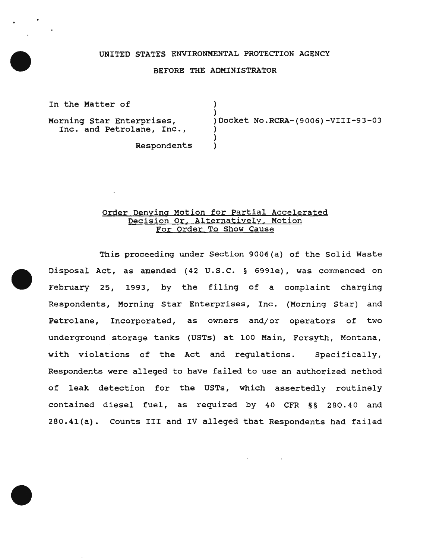## UNITED STATES ENVIRONMENTAL PROTECTION AGENCY

### BEFORE THE ADMINISTRATOR

) )

> ) )

In the Matter of

Morning Star Enterprises, Inc. and Petrolane, Inc., )Docket No.RCRA-(9006)-VIII-93-03

Respondents )

## Order Denying Motion for Partial Accelerated Decision or, Alternatively, Motion For Order To Show Cause

This proceeding under Section 9006(a) of the Solid Waste Disposal Act, as amended (42 u.s.c. § 6991e), was commenced on February 25, 1993, by the filing of a complaint charging Respondents, Morning Star Enterprises, Inc. (Morning Star) and Petrolane, Incorporated, as owners and/or operators of two underground storage tanks (USTs) at 100 Main, Forsyth, Montana, with violations of the Act and regulations. Specifically, Respondents were alleged to have failed to use an authorized method of leak detection for the USTs, which assertedly routinely contained diesel fuel, as required by 40 CFR §§ 280.40 and 280.41(a). Counts III and IV alleged that Respondents had failed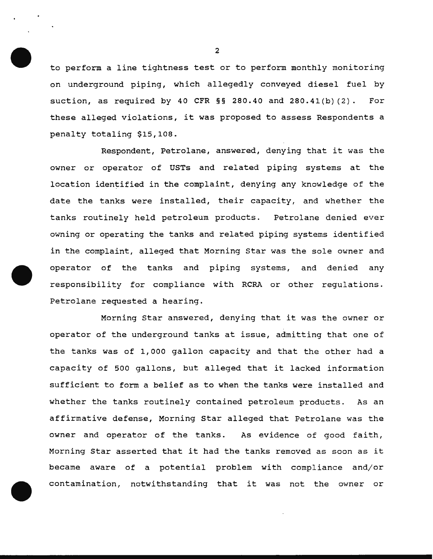to perform a line tightness test or to perform monthly monitoring on underground piping, which allegedly conveyed diesel fuel by suction, as required by 40 CFR  $\S$ § 280.40 and 280.41(b)(2). For these alleged violations, it was proposed to assess Respondents a penalty totaling \$15,108.

Respondent, Petrolane, answered, denying that it was the owner or operator of USTs and related piping systems at the location identified in the complaint, denying any knowledge of the date the tanks were installed, their capacity, and whether the tanks routinely held petroleum products. Petrolane denied ever owning or operating the tanks and related piping systems identified in the complaint, alleged that Morning Star was the sole owner and operator of the tanks and piping systems, and denied any responsibility for compliance with RCRA or other regulations. Petrolane requested a hearing.

Morning Star answered, denying that it was the owner or operator of the underground tanks at issue, admitting that one of the tanks was of 1,000 gallon capacity and that the other had a capacity of 500 gallons, but alleged that it lacked information sufficient to form a belief as to when the tanks were installed and whether the tanks routinely contained petroleum products. As an affirmative defense, Morning Star alleged that Petrolane was the owner and operator of the tanks. As evidence of good faith, Morning Star asserted that it had the tanks removed as soon as it became aware of a potential problem with compliance and/or contamination, notwithstanding that it was not the owner or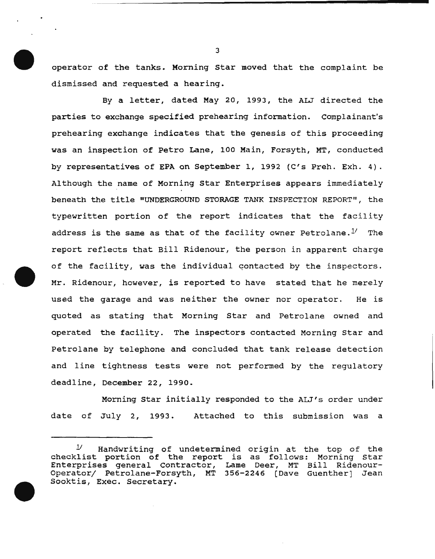operator of the tanks. Morning Star moved that the complaint be dismissed and requested a hearing.

By a letter, dated May 20, 1993, the ALJ directed the parties to exchange specified prehearing information. complainant's prehearing exchange indicates that the genesis of this proceeding was an inspection of Petro Lane, 100 Main, Forsyth, MT, conducted by representatives of EPA on September 1, 1992 (C's Preh. Exh. 4). Although the name of Morning star Enterprises appears immediately beneath the title "UNDERGROUND STORAGE TANK INSPECTION REPORT", the typewritten portion of the report indicates that the facility address is the same as that of the facility owner Petrolane. $1'$  The report reflects that Bill Ridenour, the person in apparent charge of the facility, was the individual qontacted by the inspectors. Mr. Ridenour, however, is reported to have stated that he merely used the garage and was neither the owner nor operator. He is quoted as stating that Morning Star and Petrolane owned and operated the facility. The inspectors contacted Morning Star and Petrolane by telephone and concluded that tank release detection and line tightness tests were not performed by the regulatory deadline, December 22, 1990.

Morning star initially responded to the ALJ's order under date of July 2, 1993. Attached to this submission was a

 $1/$  Handwriting of undetermined origin at the top of the checklist portion of the report is as follows: Morning Star Enterprises general Contractor, Lame Deer, MT Bill Ridenour-Operator; Petrolane-Forsyth, MT 356-2246 [Dave Guenther] Jean Sooktis, Exec. Secretary.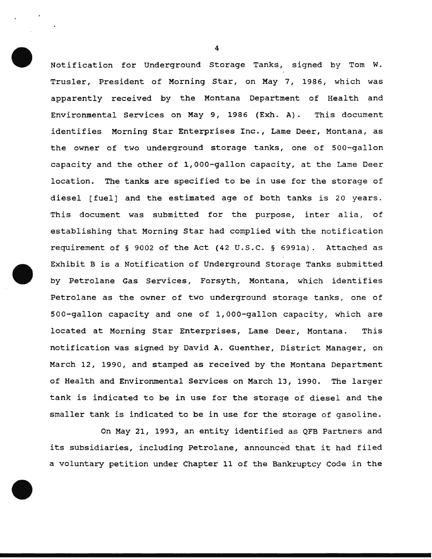Notification for Underground Storage Tanks, signed by Tom W. Trusler, President of Morning Star, on May 7, 1986, which was apparently received by the Montana Department of Health and Environmental Services on May 9, 1986 (Exh. A). This document identifies Morning Star Enterprises Inc., Lame Deer, Montana, as the owner of two underground storage tanks, one of 500-gallon capacity and the other of 1,000-gallon capacity, at the Lame Deer location. The tanks are specified to be in use for the storage of diesel [fuel] and the estimated age of both tanks is 20 years. This document was submitted for the purpose, inter alia, of establishing that Morning Star had complied with the notification requirement of § 9002 of the Act (42 U.S.C. § 699la). Attached as Exhibit B is a Notification of Underground Storage Tanks submitted by Petrolane Gas Services, Forsyth, Montana, which identifies Petrolane as the owner of two underground storage tanks, one of 500-gallon capacity and one of 1,000-gallon capacity, which are located at Morning Star Enterprises, Lame Deer, Montana. This notification was signed by David A. Guenther, District Manager, on March 12, 1990, and stamped as received by the Montana Department of Health and Environmental Services on March 13, 1990. The larger tank is indicated to be in use for the storage of diesel and the smaller tank is indicated to be in use for the storage of gasoline.

On May 21, 1993, an entity identified as QFB Partners and its subsidiaries, including Petrolane, announced that it had filed a voluntary petition under Chapter 11 of the Bankruptcy Code in the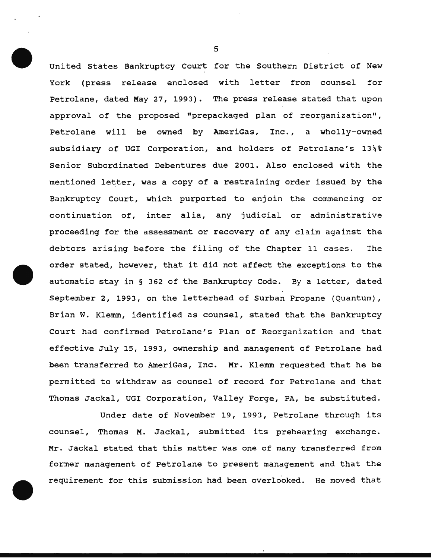United States Bankruptcy Court for the Southern District of New York (press release enclosed with letter from counsel for Petrolane, dated May 27, 1993). The press release stated that upon approval of the proposed "prepackaged plan of reorganization", Petrolane will be owned by AmeriGas, Inc., a wholly-owned subsidiary of UGI Corporation, and holders of Petrolane's 13\% Senior Subordinated Debentures due 2001. Also enclosed with the mentioned letter, was a copy of a restraining order issued by the Bankruptcy Court, which purported to enjoin the commencing or continuation of, inter alia, any judicial or administrative proceeding for the assessment or recovery of any claim against the debtors arising before the filing of the Chapter 11 cases. The order stated, however, that it did not affect the exceptions to the automatic stay in § 362 of the Bankruptcy Code. By a letter, dated September 2, 1993, on the letterhead of Surban Propane (Quantum), Brian W. Klemm, identified as counsel, stated that the Bankruptcy Court had confirmed Petrolane's Plan of Reorganization and that effective July 15, 1993, ownership and management of Petrolane had been transferred to AmeriGas, Inc. Mr. Klemm requested that he be permitted to withdraw as counsel of record for Petrolane and that Thomas Jackal, UGI Corporation, Valley Forge, PA, be substituted.

Under date of November 19, 1993, Petrolane through its counsel, Thomas M. Jackal, submitted its prehearing exchange. Mr. Jackal stated that this matter was one of many transferred from former management of Petrolane to present management and that the requirement for this submission had been overlooked. He moved that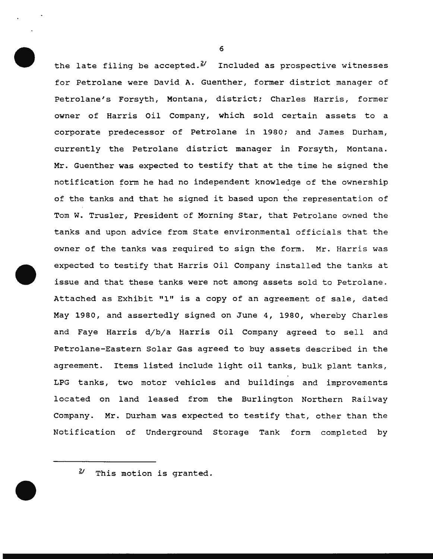the late filing be accepted. $2'$  Included as prospective witnesses for Petrolane were David A. Guenther, former district manager of Petrolane's Forsyth, Montana, district; Charles Harris, former owner of Harris Oil Company, which sold certain assets to a corporate predecessor of Petrolane in 1980; and James Durham, currently the Petrolane district manager in Forsyth, Montana. Mr. Guenther was expected to testify that at the time he signed the notification form he had no independent knowledge of the ownership of the tanks and that he signed it based upon the representation of Tom W. Trusler, President of Morning Star, that Petrolane owned the tanks and upon advice from State environmental officials that the owner of the tanks was required to sign the form. Mr. Harris was expected to testify that Harris Oil Company installed the tanks at issue and that these tanks were not among assets sold to Petrolane. Attached as Exhibit "1" is a copy of an agreement of sale, dated May 1980, and assertedly signed on June 4, 1980, whereby Charles and Faye Harris d/b/a Harris Oil Company agreed to sell and Petrolane-Eastern Solar Gas agreed to buy assets described in the agreement. Items listed include light oil tanks, bulk plant tanks, LPG tanks, two motor vehicles and buildings and improvements located on land leased from the Burlington Northern Railway Company. Mr. Durham was expected to testify that, other than the Notification of Underground Storage Tank form completed by

*Y* This motion is granted.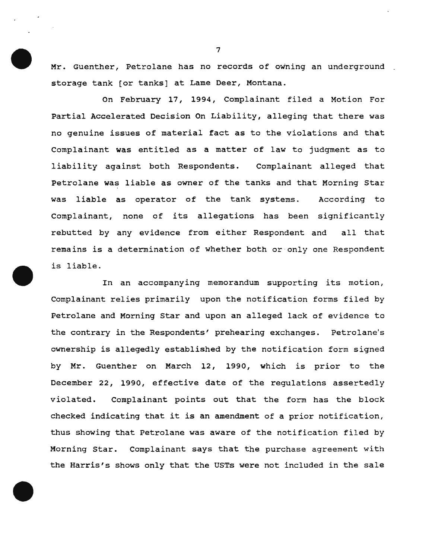Mr. Guenther, Petrolane has no records of owning an underground storage tank (or tanks] at Lame Deer, Montana.

On February 17, 1994, Complainant filed a Motion For Partial Accelerated Decision On Liability, alleging that there was no genuine issues of material fact as to the violations and that Complainant was entitled as a matter of law to judgment as to liability against both Respondents. Complainant alleged that Petrolane was liable as owner of the tanks and that Morning Star was liable as operator of the tank systems. According to Complainant, none of its allegations has been significantly rebutted by any evidence from either Respondent and all that remains is a determination of whether both or only one Respondent is liable.

In an accompanying memorandum supporting its motion, Complainant relies primarily upon the notification forms filed by Petrolane and Morning Star and upon an alleged lack of evidence to the contrary in the Respondents' prehearing exchanges. Petrolane's ownership is allegedly established by the notification form signed by Mr. Guenther on March 12, 1990, which is prior to the December 22, 1990, effective date of the regulations assertedly violated. Complainant points out that the form has the block checked indicating that it is an amendment of a prior notification, thus showing that Petrolane was aware of the notification filed by Morning Star. Complainant says that the purchase agreement with the Harris's shows only that the USTs were not included in the sale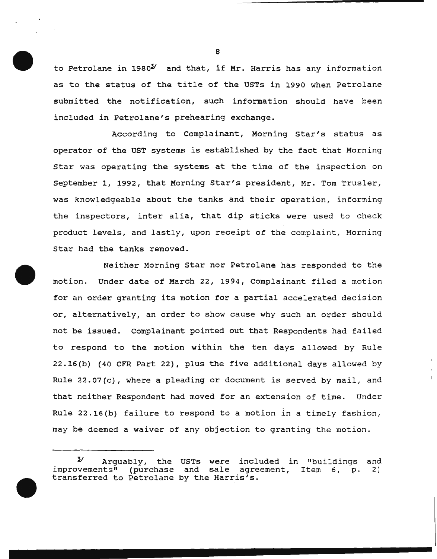to Petrolane in  $1980<sup>3</sup>$  and that, if Mr. Harris has any information as to the status of the title of the USTs in 1990 when Petrolane submitted the notification, such information should have been included in Petrolane's prehearing exchange.

According to Complainant, Morning Star's status as operator of the UST systems is established by the fact that Morning Star was operating the systems at the time of the inspection on September 1, 1992, that Morning Star's president, Mr. Tom Trusler, was knowledgeable about the tanks and their operation, informing the inspectors, inter alia, that dip sticks were used to check product levels, and lastly, upon receipt of the complaint, Morning Star had the tanks removed.

Neither Morning Star nor Petrolane has responded to the motion. Under date of March 22, 1994, Complainant filed a motion for an order granting its motion for a partial accelerated decision or, alternatively, an order to show cause why such an order should not be issued. Complainant pointed out that Respondents had failed to respond to the motion within the ten days allowed by Rule 22.16(b) (40 CFR Part 22), plus the five additional days allowed by Rule 22.07(c), where a pleading or document is served by mail, and that neither Respondent had moved for an extension of time. Under Rule 22.16(b) failure to respond to a motion in a timely fashion, may be deemed a waiver of any objection to granting the motion.

 $3'$  Arguably, the USTs were included in "buildings and <sup>2</sup> Arguably, the USTs were included in "buildings<br>improvements" (purchase and sale agreement, Item 6, p. transferred to Petrolane by the Harris's. 2)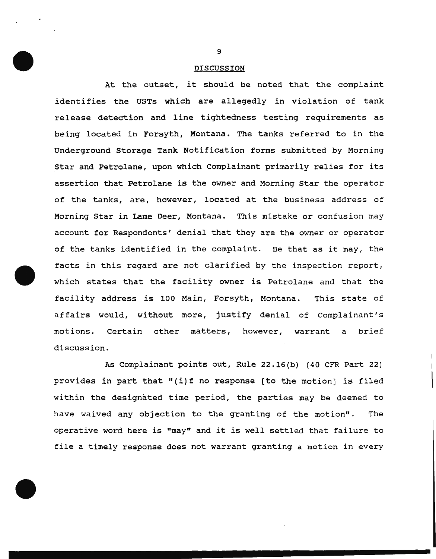### DISCUSSION

At the outset, it should be noted that the complaint identifies the USTs which are allegedly in violation of tank release detection and line tightedness testing requirements as being located in Forsyth, Montana. The tanks referred to in the Underground Storage Tank Notification forms submitted by Morning Star and Petrolane, upon which Complainant primarily relies for its assertion that Petrolane is the owner and Morning Star the operator of the tanks, are, however, located at the business address of Morning Star in Lame Deer, Montana. This mistake or confusion may account for Respondents' denial that they are the owner or operator of the tanks identified in the complaint. Be that as it may, the facts in this regard are not clarified by the inspection report, which states that the facility owner is Petrolane and that the facility address is 100 Main, Forsyth, Montana. This state of affairs would, without more, justify denial of Complainant's motions. Certain other matters, however, warrant a brief discussion.

As Complainant points out, Rule 22.16(b) (40 CFR Part 22) provides in part that "(i)f no response [to the motion] is filed within the designated time period, the parties may be deemed to have waived any objection to the granting of the motion". The operative word here is "may" and it is well settled that failure to file a timely response does not warrant granting a motion in every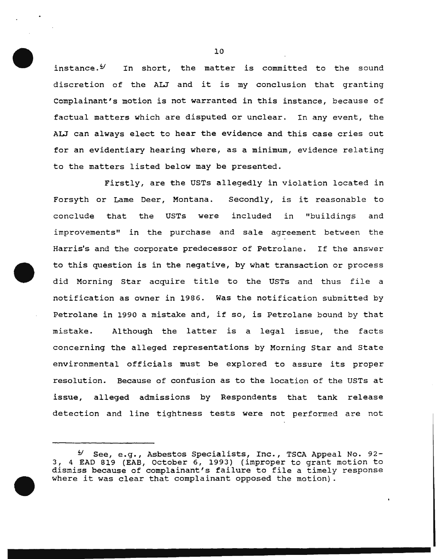instance. $\frac{4}{3}$  In short, the matter is committed to the sound discretion of the ALJ and it is my conclusion that granting Complainant's motion is not warranted in this instance, because of factual matters which are disputed or unclear. In any event, the ALJ can always elect to hear the evidence and this case cries out for an evidentiary hearing where, as a minimum, evidence relating to the matters listed below may be presented.

Firstly, are the USTs allegedly in violation located *in*  Forsyth or Lame Deer, Montana. Secondly, is it reasonable to conclude that the USTs were included in "buildings and improvements" in the purchase and sale agreement between the Harris's and the corporate predecessor of Petrolane. If the answer to this question is in the negative, by what transaction or process did Morning Star acquire title to the USTs and thus file a notification as owner in 1986. Was the notification submitted by Petrolane in 1990 a mistake and, if so, is Petrolane bound by that mistake. Although the latter is a legal issue, the facts concerning the alleged representations by Morning Star and State environmental officials must be explored to assure its proper resolution. Because of confusion as to the location of the USTs at issue, alleged admissions by Respondents that tank release detection and line tightness tests were not performed are not

 $9'$  See, e.g., Asbestos Specialists, Inc., TSCA Appeal No.  $92 -$ 3, 4 EAD 819 (EAB, October 6, 1993) (improper to grant motion to dismiss because of complainant's failure to file a timely response where it was clear that complainant opposed the motion).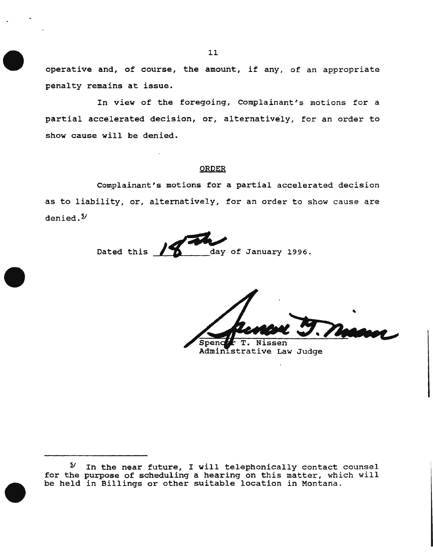operative and, of course, the amount, if any, of an appropriate penalty remains at issue.

In view of the foregoing, Complainant's motions for a partial accelerated decision, or, alternatively, for an order to show cause will be denied.

# ORDER

Complainant's motions for a partial accelerated decision as to liability, or, alternatively, for an order to show cause are denied.<sup>2</sup>

Dated this day of January 1996.

Nissen

Administrative Law Judge

 $9'$  In the near future, I will telephonically contact counsel for the purpose of scheduling a hearing on this matter, which will be held in Billings or other suitable location in Montana.